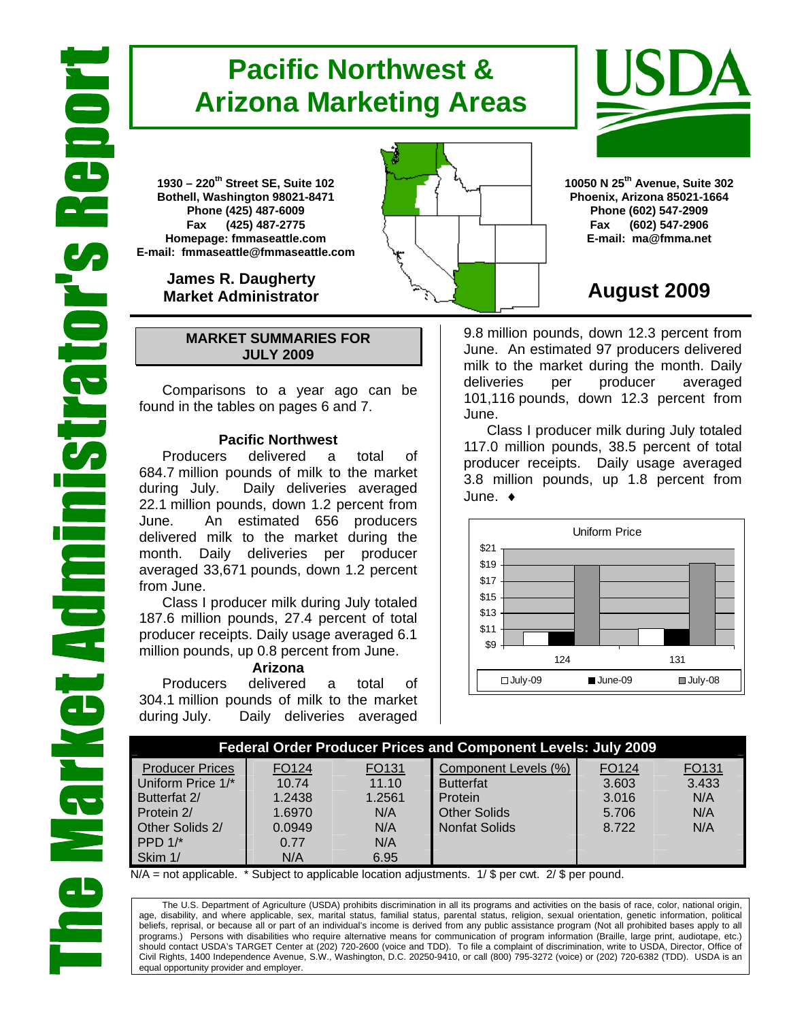# **Pacific Northwest & Arizona Marketing Areas**

**1930 – 220th Street SE, Suite 102 Bothell, Washington 98021-8471 Phone (425) 487-6009 Fax (425) 487-2775 Homepage: fmmaseattle.com E-mail: fmmaseattle@fmmaseattle.com**

> **James R. Daugherty Market Administrator**

### **MARKET SUMMARIES FOR JULY 2009**

 Comparisons to a year ago can be found in the tables on pages 6 and 7.

### **Pacific Northwest**

Producers delivered a total of 684.7 million pounds of milk to the market during July. Daily deliveries averaged 22.1 million pounds, down 1.2 percent from June. An estimated 656 producers delivered milk to the market during the month. Daily deliveries per producer averaged 33,671 pounds, down 1.2 percent from June.

Class I producer milk during July totaled 187.6 million pounds, 27.4 percent of total producer receipts. Daily usage averaged 6.1 million pounds, up 0.8 percent from June.

### **Arizona**

Producers delivered a total of 304.1 million pounds of milk to the market during July. Daily deliveries averaged

**10050 N 25th Avenue, Suite 302 Phoenix, Arizona 85021-1664 Phone (602) 547-2909 Fax (602) 547-2906 E-mail: ma@fmma.net**

## **August 2009**

9.8 million pounds, down 12.3 percent from June. An estimated 97 producers delivered milk to the market during the month. Daily deliveries per producer averaged 101,116 pounds, down 12.3 percent from June.

Class I producer milk during July totaled 117.0 million pounds, 38.5 percent of total producer receipts. Daily usage averaged 3.8 million pounds, up 1.8 percent from June. ♦



|                        |        |                   | <b>Federal Order Producer Prices and Component Levels: July 2009</b> |                   |       |
|------------------------|--------|-------------------|----------------------------------------------------------------------|-------------------|-------|
| <b>Producer Prices</b> | FO124  | FO <sub>131</sub> | Component Levels (%)                                                 | FO <sub>124</sub> | FO131 |
| Uniform Price 1/*      | 10.74  | 11.10             | <b>Butterfat</b>                                                     | 3.603             | 3.433 |
| Butterfat 2/           | 1.2438 | 1.2561            | Protein                                                              | 3.016             | N/A   |
| Protein 2/             | 1.6970 | N/A               | <b>Other Solids</b>                                                  | 5.706             | N/A   |
| Other Solids 2/        | 0.0949 | N/A               | <b>Nonfat Solids</b>                                                 | 8.722             | N/A   |
| $PPD 1/*$              | 0.77   | N/A               |                                                                      |                   |       |
| Skim 1/                | N/A    | 6.95              |                                                                      |                   |       |

 $N/A$  = not applicable. \* Subject to applicable location adjustments. 1/ \$ per cwt. 2/ \$ per pound.

The U.S. Department of Agriculture (USDA) prohibits discrimination in all its programs and activities on the basis of race, color, national origin, age, disability, and where applicable, sex, marital status, familial status, parental status, religion, sexual orientation, genetic information, political beliefs, reprisal, or because all or part of an individual's income is derived from any public assistance program (Not all prohibited bases apply to all programs.) Persons with disabilities who require alternative means for communication of program information (Braille, large print, audiotape, etc.) should contact USDA's TARGET Center at (202) 720-2600 (voice and TDD). To file a complaint of discrimination, write to USDA, Director, Office of Civil Rights, 1400 Independence Avenue, S.W., Washington, D.C. 20250-9410, or call (800) 795-3272 (voice) or (202) 720-6382 (TDD). USDA is an equal opportunity provider and employer.



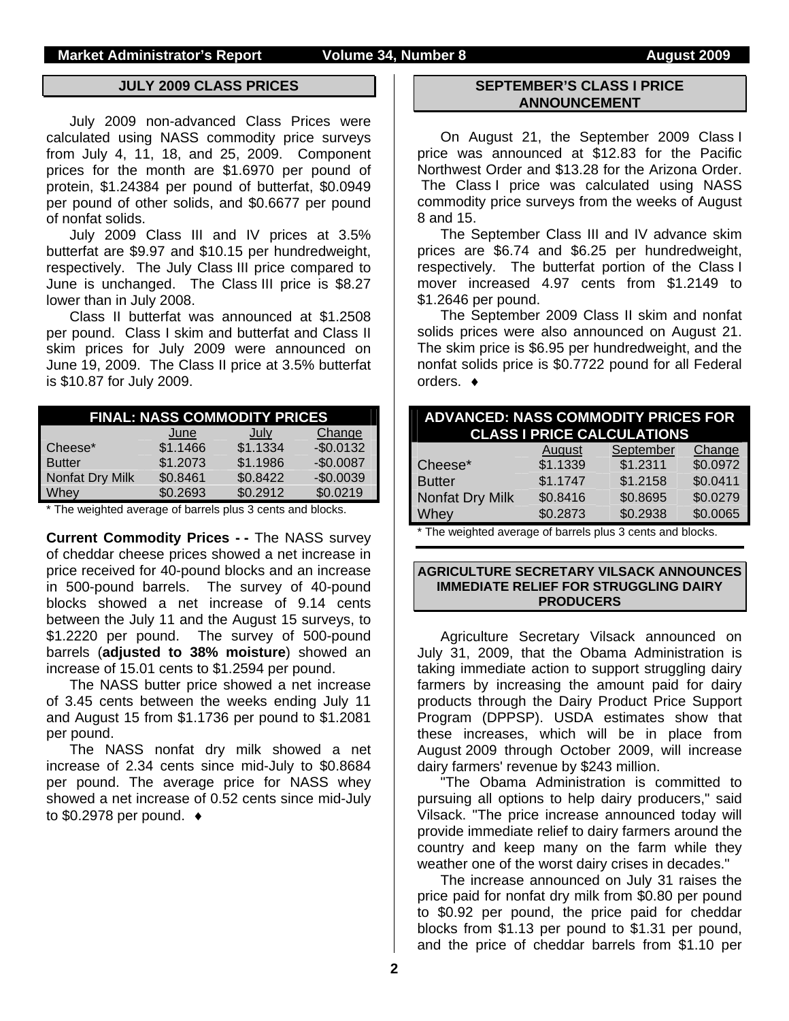### **JULY 2009 CLASS PRICES**

July 2009 non-advanced Class Prices were calculated using NASS commodity price surveys from July 4, 11, 18, and 25, 2009. Component prices for the month are \$1.6970 per pound of protein, \$1.24384 per pound of butterfat, \$0.0949 per pound of other solids, and \$0.6677 per pound of nonfat solids.

July 2009 Class III and IV prices at 3.5% butterfat are \$9.97 and \$10.15 per hundredweight, respectively. The July Class III price compared to June is unchanged. The Class III price is \$8.27 lower than in July 2008.

Class II butterfat was announced at \$1.2508 per pound. Class I skim and butterfat and Class II skim prices for July 2009 were announced on June 19, 2009. The Class II price at 3.5% butterfat is \$10.87 for July 2009.

|                 | <b>FINAL: NASS COMMODITY PRICES</b> |          |            |
|-----------------|-------------------------------------|----------|------------|
|                 | June                                | July     | Change     |
| Cheese*         | \$1.1466                            | \$1.1334 | $-$0.0132$ |
| <b>Butter</b>   | \$1.2073                            | \$1.1986 | $-$0.0087$ |
| Nonfat Dry Milk | \$0.8461                            | \$0.8422 | $-$0.0039$ |
| Whey            | \$0.2693                            | \$0.2912 | \$0.0219   |

\* The weighted average of barrels plus 3 cents and blocks.

**Current Commodity Prices - -** The NASS survey of cheddar cheese prices showed a net increase in price received for 40-pound blocks and an increase in 500-pound barrels. The survey of 40-pound blocks showed a net increase of 9.14 cents between the July 11 and the August 15 surveys, to \$1.2220 per pound. The survey of 500-pound barrels (**adjusted to 38% moisture**) showed an increase of 15.01 cents to \$1.2594 per pound.

The NASS butter price showed a net increase of 3.45 cents between the weeks ending July 11 and August 15 from \$1.1736 per pound to \$1.2081 per pound.

The NASS nonfat dry milk showed a net increase of 2.34 cents since mid-July to \$0.8684 per pound. The average price for NASS whey showed a net increase of 0.52 cents since mid-July to  $$0.2978$  per pound.  $\bullet$ 

### **SEPTEMBER'S CLASS I PRICE ANNOUNCEMENT**

On August 21, the September 2009 Class I price was announced at \$12.83 for the Pacific Northwest Order and \$13.28 for the Arizona Order. The Class I price was calculated using NASS commodity price surveys from the weeks of August 8 and 15.

The September Class III and IV advance skim prices are \$6.74 and \$6.25 per hundredweight, respectively. The butterfat portion of the Class I mover increased 4.97 cents from \$1.2149 to \$1.2646 per pound.

The September 2009 Class II skim and nonfat solids prices were also announced on August 21. The skim price is \$6.95 per hundredweight, and the nonfat solids price is \$0.7722 pound for all Federal orders. ♦

| <b>ADVANCED: NASS COMMODITY PRICES FOR</b><br><b>CLASS I PRICE CALCULATIONS</b> |          |           |          |  |  |  |  |
|---------------------------------------------------------------------------------|----------|-----------|----------|--|--|--|--|
|                                                                                 | August   | September | Change   |  |  |  |  |
| Cheese*                                                                         | \$1.1339 | \$1.2311  | \$0.0972 |  |  |  |  |
| <b>Butter</b>                                                                   | \$1.1747 | \$1.2158  | \$0.0411 |  |  |  |  |
| <b>Nonfat Dry Milk</b>                                                          | \$0.8416 | \$0.8695  | \$0.0279 |  |  |  |  |
| Whey                                                                            | \$0.2873 | \$0.2938  | \$0.0065 |  |  |  |  |
|                                                                                 |          |           |          |  |  |  |  |

The weighted average of barrels plus 3 cents and blocks.

### **AGRICULTURE SECRETARY VILSACK ANNOUNCES IMMEDIATE RELIEF FOR STRUGGLING DAIRY PRODUCERS**

Agriculture Secretary Vilsack announced on July 31, 2009, that the Obama Administration is taking immediate action to support struggling dairy farmers by increasing the amount paid for dairy products through the Dairy Product Price Support Program (DPPSP). USDA estimates show that these increases, which will be in place from August 2009 through October 2009, will increase dairy farmers' revenue by \$243 million.

"The Obama Administration is committed to pursuing all options to help dairy producers," said Vilsack. "The price increase announced today will provide immediate relief to dairy farmers around the country and keep many on the farm while they weather one of the worst dairy crises in decades."

The increase announced on July 31 raises the price paid for nonfat dry milk from \$0.80 per pound to \$0.92 per pound, the price paid for cheddar blocks from \$1.13 per pound to \$1.31 per pound, and the price of cheddar barrels from \$1.10 per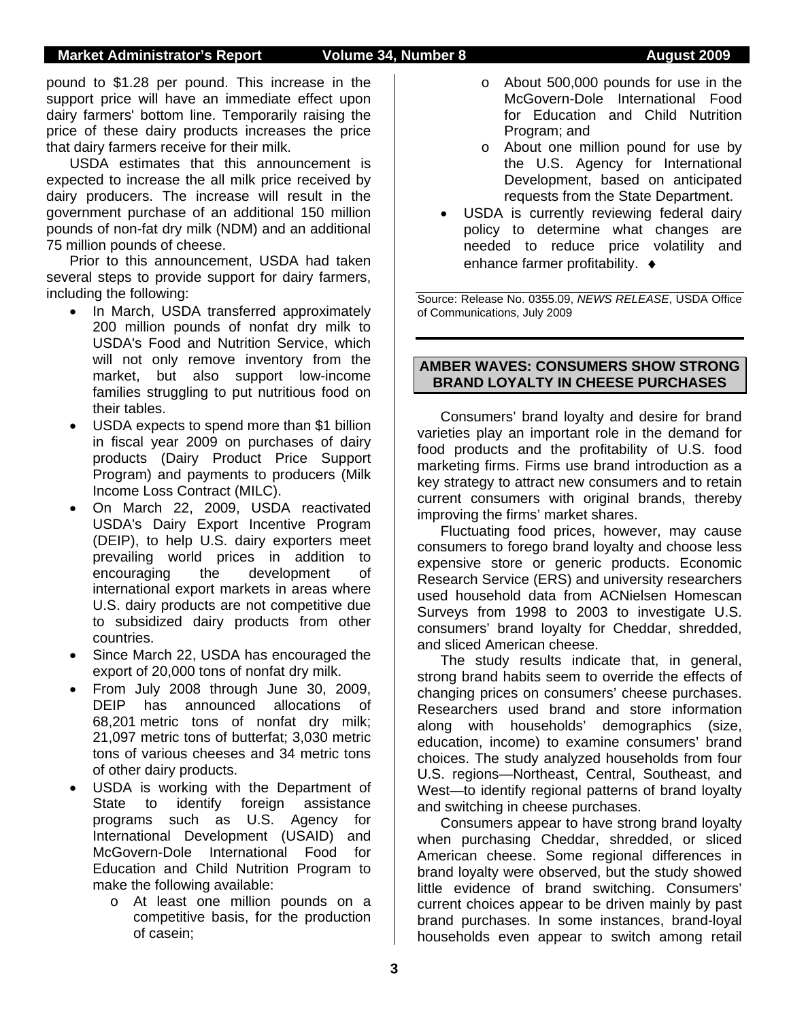### **Market Administrator's Report Volume 34, Number 8 August 2009**

pound to \$1.28 per pound. This increase in the support price will have an immediate effect upon dairy farmers' bottom line. Temporarily raising the price of these dairy products increases the price that dairy farmers receive for their milk.

USDA estimates that this announcement is expected to increase the all milk price received by dairy producers. The increase will result in the government purchase of an additional 150 million pounds of non-fat dry milk (NDM) and an additional 75 million pounds of cheese.

Prior to this announcement, USDA had taken several steps to provide support for dairy farmers, including the following:

- In March, USDA transferred approximately 200 million pounds of nonfat dry milk to USDA's Food and Nutrition Service, which will not only remove inventory from the market, but also support low-income families struggling to put nutritious food on their tables.
- USDA expects to spend more than \$1 billion in fiscal year 2009 on purchases of dairy products (Dairy Product Price Support Program) and payments to producers (Milk Income Loss Contract (MILC).
- On March 22, 2009, USDA reactivated USDA's Dairy Export Incentive Program (DEIP), to help U.S. dairy exporters meet prevailing world prices in addition to encouraging the development of international export markets in areas where U.S. dairy products are not competitive due to subsidized dairy products from other countries.
- Since March 22, USDA has encouraged the export of 20,000 tons of nonfat dry milk.
- From July 2008 through June 30, 2009, DEIP has announced allocations of 68,201 metric tons of nonfat dry milk; 21,097 metric tons of butterfat; 3,030 metric tons of various cheeses and 34 metric tons of other dairy products.
- USDA is working with the Department of State to identify foreign assistance programs such as U.S. Agency for International Development (USAID) and McGovern-Dole International Food for Education and Child Nutrition Program to make the following available:
	- o At least one million pounds on a competitive basis, for the production of casein;
- o About 500,000 pounds for use in the McGovern-Dole International Food for Education and Child Nutrition Program; and
- o About one million pound for use by the U.S. Agency for International Development, based on anticipated requests from the State Department.
- USDA is currently reviewing federal dairy policy to determine what changes are needed to reduce price volatility and enhance farmer profitability. ♦

Source: Release No. 0355.09, *NEWS RELEASE*, USDA Office of Communications, July 2009

### **AMBER WAVES: CONSUMERS SHOW STRONG BRAND LOYALTY IN CHEESE PURCHASES**

Consumers' brand loyalty and desire for brand varieties play an important role in the demand for food products and the profitability of U.S. food marketing firms. Firms use brand introduction as a key strategy to attract new consumers and to retain current consumers with original brands, thereby improving the firms' market shares.

Fluctuating food prices, however, may cause consumers to forego brand loyalty and choose less expensive store or generic products. Economic Research Service (ERS) and university researchers used household data from ACNielsen Homescan Surveys from 1998 to 2003 to investigate U.S. consumers' brand loyalty for Cheddar, shredded, and sliced American cheese.

The study results indicate that, in general, strong brand habits seem to override the effects of changing prices on consumers' cheese purchases. Researchers used brand and store information along with households' demographics (size, education, income) to examine consumers' brand choices. The study analyzed households from four U.S. regions—Northeast, Central, Southeast, and West—to identify regional patterns of brand loyalty and switching in cheese purchases.

Consumers appear to have strong brand loyalty when purchasing Cheddar, shredded, or sliced American cheese. Some regional differences in brand loyalty were observed, but the study showed little evidence of brand switching. Consumers' current choices appear to be driven mainly by past brand purchases. In some instances, brand-loyal households even appear to switch among retail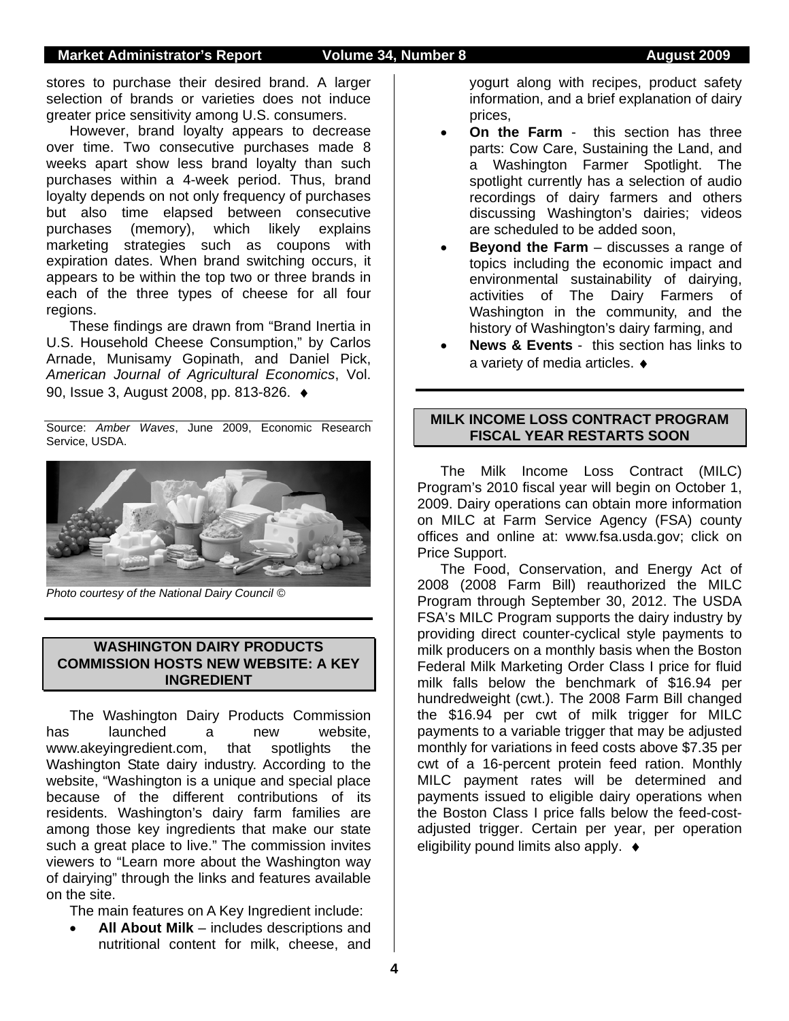stores to purchase their desired brand. A larger selection of brands or varieties does not induce greater price sensitivity among U.S. consumers.

However, brand loyalty appears to decrease over time. Two consecutive purchases made 8 weeks apart show less brand loyalty than such purchases within a 4-week period. Thus, brand loyalty depends on not only frequency of purchases but also time elapsed between consecutive purchases (memory), which likely explains marketing strategies such as coupons with expiration dates. When brand switching occurs, it appears to be within the top two or three brands in each of the three types of cheese for all four regions.

These findings are drawn from "Brand Inertia in U.S. Household Cheese Consumption," by Carlos Arnade, Munisamy Gopinath, and Daniel Pick, *American Journal of Agricultural Economics*, Vol. 90, Issue 3, August 2008, pp. 813-826. ♦

Source: *Amber Waves*, June 2009, Economic Research Service, USDA.



*Photo courtesy of the National Dairy Council ©* 

### **WASHINGTON DAIRY PRODUCTS COMMISSION HOSTS NEW WEBSITE: A KEY INGREDIENT**

The Washington Dairy Products Commission has launched a new website, www.akeyingredient.com, that spotlights the Washington State dairy industry. According to the website, "Washington is a unique and special place because of the different contributions of its residents. Washington's dairy farm families are among those key ingredients that make our state such a great place to live." The commission invites viewers to "Learn more about the Washington way of dairying" through the links and features available on the site.

The main features on A Key Ingredient include:

• **All About Milk** – includes descriptions and nutritional content for milk, cheese, and

yogurt along with recipes, product safety information, and a brief explanation of dairy prices,

- **On the Farm** this section has three parts: Cow Care, Sustaining the Land, and a Washington Farmer Spotlight. The spotlight currently has a selection of audio recordings of dairy farmers and others discussing Washington's dairies; videos are scheduled to be added soon,
- **Beyond the Farm** discusses a range of topics including the economic impact and environmental sustainability of dairying, activities of The Dairy Farmers of Washington in the community, and the history of Washington's dairy farming, and
- **News & Events** this section has links to a variety of media articles. ♦

### **MILK INCOME LOSS CONTRACT PROGRAM FISCAL YEAR RESTARTS SOON**

The Milk Income Loss Contract (MILC) Program's 2010 fiscal year will begin on October 1, 2009. Dairy operations can obtain more information on MILC at Farm Service Agency (FSA) county offices and online at: www.fsa.usda.gov; click on Price Support.

The Food, Conservation, and Energy Act of 2008 (2008 Farm Bill) reauthorized the MILC Program through September 30, 2012. The USDA FSA's MILC Program supports the dairy industry by providing direct counter-cyclical style payments to milk producers on a monthly basis when the Boston Federal Milk Marketing Order Class I price for fluid milk falls below the benchmark of \$16.94 per hundredweight (cwt.). The 2008 Farm Bill changed the \$16.94 per cwt of milk trigger for MILC payments to a variable trigger that may be adjusted monthly for variations in feed costs above \$7.35 per cwt of a 16-percent protein feed ration. Monthly MILC payment rates will be determined and payments issued to eligible dairy operations when the Boston Class I price falls below the feed-costadjusted trigger. Certain per year, per operation eligibility pound limits also apply.♦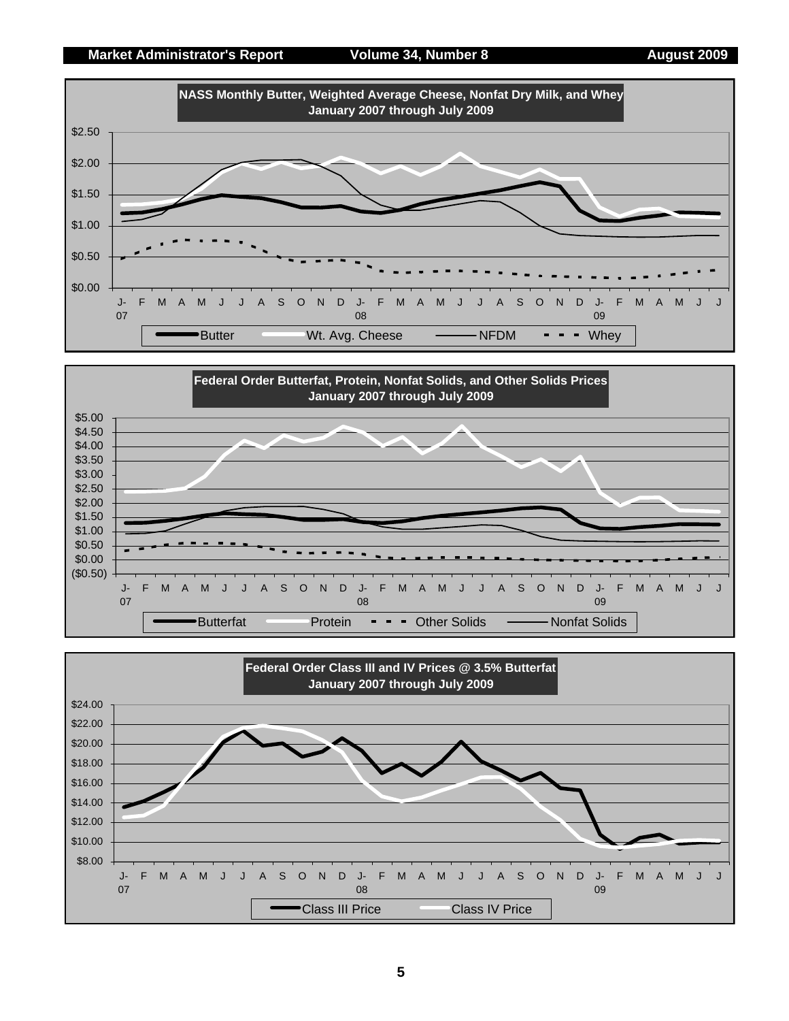### **Market Administrator's Report 6 August 2009 Market Administrator's Report 6 August 2009**





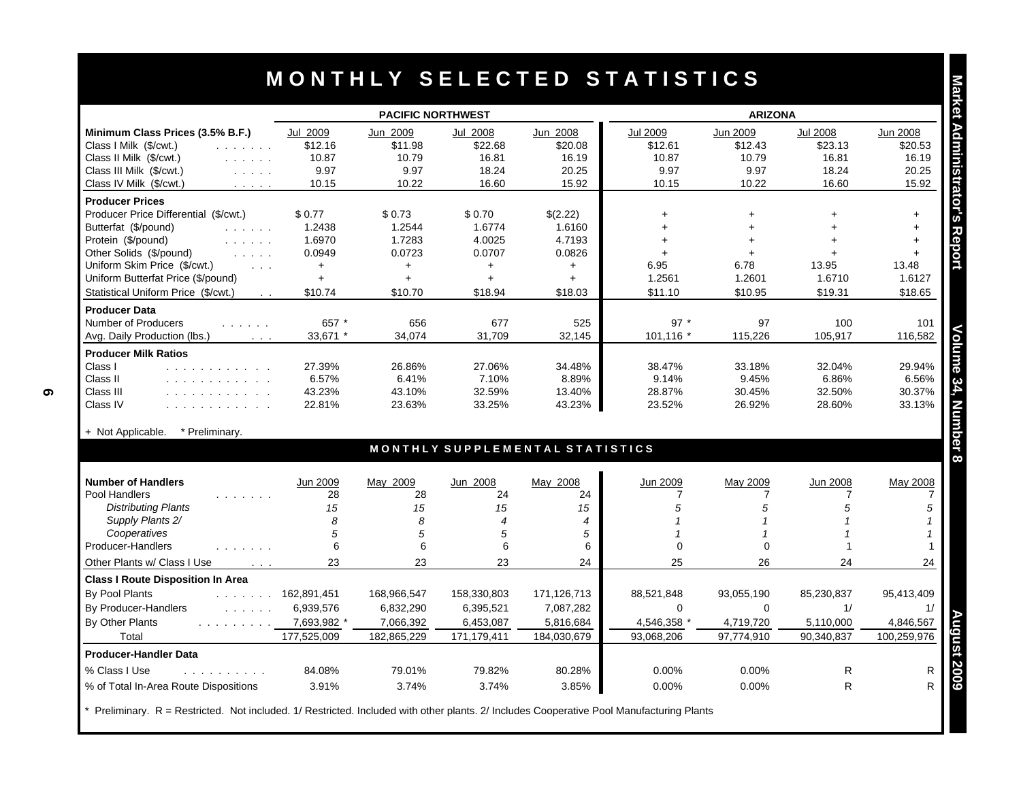|                                                                                                                                                  |                      | <b>PACIFIC NORTHWEST</b> |                          |                                 |                | <b>ARIZONA</b>          |                 |             |
|--------------------------------------------------------------------------------------------------------------------------------------------------|----------------------|--------------------------|--------------------------|---------------------------------|----------------|-------------------------|-----------------|-------------|
| Minimum Class Prices (3.5% B.F.)                                                                                                                 | Jul 2009             | Jun 2009                 | Jul 2008                 | Jun 2008                        | Jul 2009       | Jun 2009                | <b>Jul 2008</b> | Jun 2008    |
| Class I Milk (\$/cwt.)<br>and a strain and                                                                                                       | \$12.16              | \$11.98                  | \$22.68                  | \$20.08                         | \$12.61        | \$12.43                 | \$23.13         | \$20.53     |
| Class II Milk (\$/cwt.)<br>and a state of                                                                                                        | 10.87                | 10.79                    | 16.81                    | 16.19                           | 10.87          | 10.79                   | 16.81           | 16.19       |
| Class III Milk (\$/cwt.)<br>$\mathbb{Z}^2$ . The same $\mathbb{Z}^2$                                                                             | 9.97                 | 9.97                     | 18.24                    | 20.25                           | 9.97           | 9.97                    | 18.24           | 20.25       |
| Class IV Milk (\$/cwt.)<br>$\mathcal{L}^{\mathcal{A}}$ , $\mathcal{L}^{\mathcal{A}}$ , $\mathcal{L}^{\mathcal{A}}$ , $\mathcal{L}^{\mathcal{A}}$ | 10.15                | 10.22                    | 16.60                    | 15.92                           | 10.15          | 10.22                   | 16.60           | 15.92       |
| <b>Producer Prices</b>                                                                                                                           |                      |                          |                          |                                 |                |                         |                 |             |
| Producer Price Differential (\$/cwt.)                                                                                                            | \$0.77               | \$0.73                   | \$0.70                   | \$(2.22)                        | $+$            | $\ddot{}$               |                 | $+$         |
| Butterfat (\$/pound)<br>$\mathcal{L}$ , and $\mathcal{L}$ , and $\mathcal{L}$                                                                    | 1.2438               | 1.2544                   | 1.6774                   | 1.6160                          | $+$            | $+$                     |                 | $+$         |
| Protein (\$/pound)<br>and a straight                                                                                                             | 1.6970               | 1.7283                   | 4.0025                   | 4.7193                          | $\ddot{}$      | $+$                     |                 | $+$         |
| Other Solids (\$/pound)<br>and a state                                                                                                           | 0.0949               | 0.0723                   | 0.0707                   | 0.0826                          | $+$            | $+$                     | ÷               | $+$         |
| Uniform Skim Price (\$/cwt.)<br>$\cdot$ $\cdot$ $\cdot$                                                                                          | $+$                  | $+$                      | $+$                      | $+$                             | 6.95           | 6.78                    | 13.95           | 13.48       |
| Uniform Butterfat Price (\$/pound)                                                                                                               | $\ddag$              | $+$                      | $+$                      | $+$                             | 1.2561         | 1.2601                  | 1.6710          | 1.6127      |
| Statistical Uniform Price (\$/cwt.)<br>$\sim 100$                                                                                                | \$10.74              | \$10.70                  | \$18.94                  | \$18.03                         | \$11.10        | \$10.95                 | \$19.31         | \$18.65     |
| <b>Producer Data</b>                                                                                                                             |                      |                          |                          |                                 |                |                         |                 |             |
| Number of Producers<br>.                                                                                                                         | 657 *                | 656                      | 677                      | 525                             | $97*$          | 97                      | 100             | 101         |
| Avg. Daily Production (lbs.)<br>$\sim$ $\sim$ $\sim$                                                                                             | 33,671 *             | 34,074                   | 31,709                   | 32,145                          | 101,116        | 115,226                 | 105,917         | 116,582     |
| <b>Producer Milk Ratios</b>                                                                                                                      |                      |                          |                          |                                 |                |                         |                 |             |
| Class I<br>.                                                                                                                                     | 27.39%               | 26.86%                   | 27.06%                   | 34.48%                          | 38.47%         | 33.18%                  | 32.04%          | 29.94%      |
| Class II<br>.                                                                                                                                    | 6.57%                | 6.41%                    | 7.10%                    | 8.89%                           | 9.14%          | 9.45%                   | 6.86%           | 6.56%       |
| Class III<br>.                                                                                                                                   | 43.23%               | 43.10%                   | 32.59%                   | 13.40%                          | 28.87%         | 30.45%                  | 32.50%          | 30.37%      |
| Class IV<br>and a contract and a contract of                                                                                                     | 22.81%               | 23.63%                   | 33.25%                   | 43.23%                          | 23.52%         | 26.92%                  | 28.60%          | 33.13%      |
|                                                                                                                                                  |                      |                          |                          |                                 |                |                         |                 |             |
| * Preliminary.<br>+ Not Applicable.                                                                                                              |                      |                          |                          | MONTHLY SUPPLEMENTAL STATISTICS |                |                         |                 |             |
|                                                                                                                                                  |                      |                          |                          |                                 |                |                         |                 |             |
| <b>Number of Handlers</b>                                                                                                                        | Jun 2009             | May 2009                 | Jun 2008                 | May 2008                        | Jun 2009       | May 2009                | Jun 2008        | May 2008    |
| Pool Handlers<br>.                                                                                                                               | 28                   | 28                       | 24                       | 24                              | $\overline{7}$ | 7                       | 7               |             |
| <b>Distributing Plants</b>                                                                                                                       | 15                   | 15                       | 15                       | 15                              | 5              | 5                       | 5               |             |
| Supply Plants 2/                                                                                                                                 | 8                    | 8                        | $\overline{\mathcal{A}}$ | $\overline{4}$                  |                | $\mathbf 1$             |                 |             |
| Cooperatives<br>Producer-Handlers                                                                                                                | 5<br>6               | 5<br>6                   | 5<br>6                   | 5                               | $\Omega$       | $\mathbf 1$<br>$\Omega$ |                 |             |
| $\mathbf{r}$ , $\mathbf{r}$ , $\mathbf{r}$ , $\mathbf{r}$ , $\mathbf{r}$                                                                         |                      |                          |                          | 6                               |                |                         |                 |             |
| Other Plants w/ Class I Use<br>$\sim 100$ $\mu$                                                                                                  | 23                   | 23                       | 23                       | 24                              | 25             | 26                      | 24              | 24          |
| <b>Class I Route Disposition In Area</b>                                                                                                         |                      |                          |                          |                                 |                |                         |                 |             |
| By Pool Plants                                                                                                                                   | $\ldots$ 162,891,451 | 168,966,547              | 158,330,803              | 171,126,713                     | 88,521,848     | 93,055,190              | 85,230,837      | 95,413,409  |
| By Producer-Handlers<br>and a series.                                                                                                            | 6,939,576            | 6,832,290                | 6,395,521                | 7,087,282                       | $\Omega$       | $\Omega$                | 1/              |             |
| By Other Plants<br>and a straight and straight                                                                                                   | 7,693,982 *          | 7,066,392                | 6,453,087                | 5,816,684                       | 4,546,358 *    | 4,719,720               | 5,110,000       | 4,846,567   |
| Total                                                                                                                                            | 177,525,009          | 182,865,229              | 171,179,411              | 184,030,679                     | 93,068,206     | 97,774,910              | 90,340,837      | 100,259,976 |
| <b>Producer-Handler Data</b>                                                                                                                     |                      |                          |                          |                                 |                |                         |                 |             |
|                                                                                                                                                  |                      |                          |                          |                                 |                |                         |                 |             |
| % Class I Use<br>and a straightful and                                                                                                           | 84.08%               | 79.01%                   | 79.82%                   | 80.28%                          | 0.00%          | 0.00%                   | R               |             |

| <b>Number of Handlers</b>                | Jun 2009    | May 2009    | Jun 2008    | May 2008    | Jun 2009    | May 2009   | Jun 2008   | May 2008    |
|------------------------------------------|-------------|-------------|-------------|-------------|-------------|------------|------------|-------------|
| Pool Handlers                            | 28          | 28          | 24          | 24          |             |            |            |             |
| <b>Distributing Plants</b>               | 15          | 15          | 15          | 15          |             |            |            |             |
| Supply Plants 2/                         |             |             |             |             |             |            |            |             |
| Cooperatives                             |             |             |             |             |             |            |            |             |
| Producer-Handlers                        |             |             |             |             |             |            |            |             |
| Other Plants w/ Class I Use              | 23          | 23          | 23          | 24          | 25          | 26         | 24         | 24          |
| <b>Class I Route Disposition In Area</b> |             |             |             |             |             |            |            |             |
| By Pool Plants<br>and the state of the   | 162,891,451 | 168,966,547 | 158,330,803 | 171,126,713 | 88,521,848  | 93,055,190 | 85,230,837 | 95,413,409  |
| By Producer-Handlers<br>and a strain of  | 6,939,576   | 6,832,290   | 6,395,521   | 7,087,282   |             |            |            |             |
| By Other Plants                          | 7,693,982 * | 7,066,392   | 6,453,087   | 5,816,684   | 4,546,358 * | 4,719,720  | 5,110,000  | 4,846,567   |
| Total                                    | 177,525,009 | 182,865,229 | 171,179,411 | 184,030,679 | 93,068,206  | 97,774,910 | 90,340,837 | 100,259,976 |
| <b>Producer-Handler Data</b>             |             |             |             |             |             |            |            |             |
| % Class I Use                            | 84.08%      | 79.01%      | 79.82%      | 80.28%      | $0.00\%$    | $0.00\%$   | R          |             |
| % of Total In-Area Route Dispositions    | 3.91%       | 3.74%       | 3.74%       | 3.85%       | $0.00\%$    | 0.00%      |            |             |

Preliminary. R = Restricted. Not included. 1/ Restricted. Included with other plants. 2/ Includes Cooperative Pool Manufacturing Plants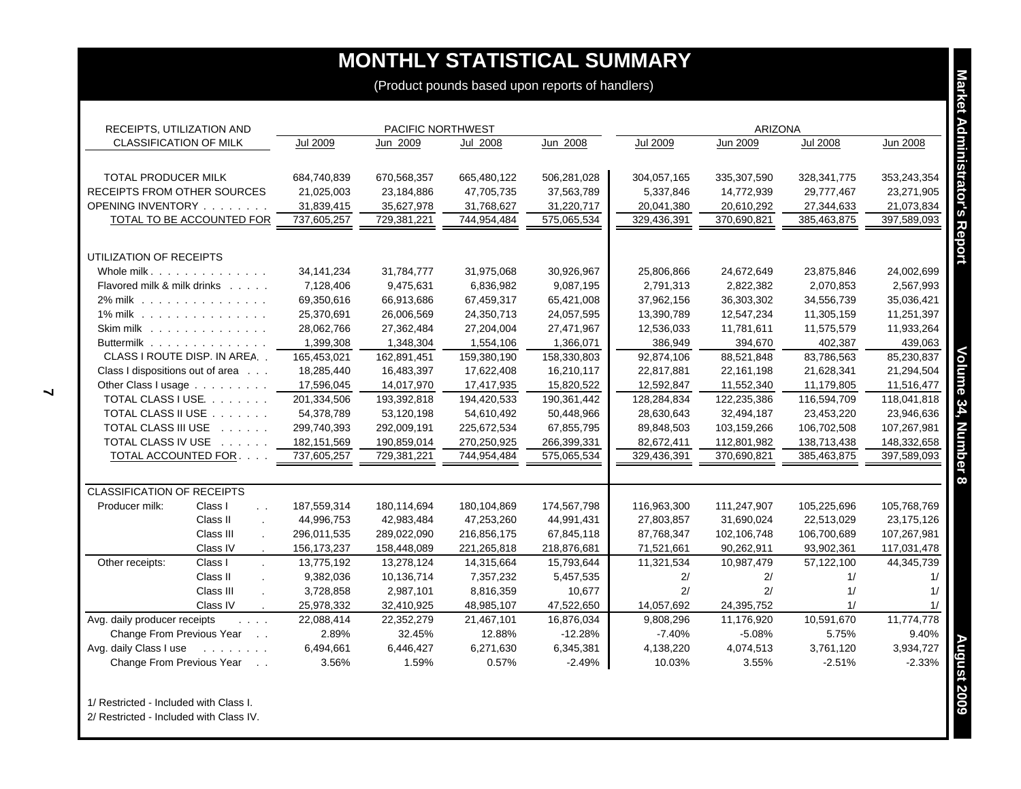| RECEIPTS, UTILIZATION AND                                                 |                           | PACIFIC NORTHWEST         |                           |                           |                          | <b>ARIZONA</b>            |                             |                           |
|---------------------------------------------------------------------------|---------------------------|---------------------------|---------------------------|---------------------------|--------------------------|---------------------------|-----------------------------|---------------------------|
| <b>CLASSIFICATION OF MILK</b>                                             | <b>Jul 2009</b>           | Jun 2009                  | <b>Jul 2008</b>           | Jun 2008                  | <b>Jul 2009</b>          | Jun 2009                  | <b>Jul 2008</b>             | <b>Jun 2008</b>           |
|                                                                           |                           |                           |                           |                           |                          |                           |                             |                           |
| TOTAL PRODUCER MILK<br>RECEIPTS FROM OTHER SOURCES                        | 684,740,839<br>21,025,003 | 670,568,357<br>23,184,886 | 665,480,122<br>47,705,735 | 506,281,028<br>37,563,789 | 304,057,165<br>5,337,846 | 335,307,590<br>14,772,939 | 328, 341, 775<br>29,777,467 | 353,243,354<br>23,271,905 |
| <b>OPENING INVENTORY</b>                                                  | 31,839,415                | 35,627,978                | 31,768,627                | 31,220,717                | 20,041,380               | 20,610,292                | 27,344,633                  | 21,073,834                |
| TOTAL TO BE ACCOUNTED FOR                                                 | 737,605,257               | 729,381,221               | 744,954,484               | 575,065,534               | 329,436,391              | 370,690,821               | 385,463,875                 | 397,589,093               |
|                                                                           |                           |                           |                           |                           |                          |                           |                             |                           |
| UTILIZATION OF RECEIPTS                                                   |                           |                           |                           |                           |                          |                           |                             |                           |
| Whole milk.                                                               | 34, 141, 234              | 31,784,777                | 31,975,068                | 30,926,967                | 25,806,866               | 24,672,649                | 23,875,846                  | 24,002,699                |
| Flavored milk & milk drinks                                               | 7,128,406                 | 9,475,631                 | 6,836,982                 | 9,087,195                 | 2,791,313                | 2,822,382                 | 2,070,853                   | 2,567,993                 |
| 2% milk                                                                   | 69,350,616                | 66,913,686                | 67,459,317                | 65,421,008                | 37,962,156               | 36,303,302                | 34,556,739                  | 35,036,421                |
| 1% milk                                                                   | 25,370,691                | 26,006,569                | 24,350,713                | 24,057,595                | 13,390,789               | 12,547,234                | 11,305,159                  | 11,251,397                |
| Skim milk                                                                 | 28,062,766                | 27,362,484                | 27,204,004                | 27,471,967                | 12,536,033               | 11,781,611                | 11,575,579                  | 11,933,264                |
| Buttermilk                                                                | 1,399,308                 | 1,348,304                 | 1,554,106                 | 1,366,071                 | 386,949                  | 394,670                   | 402,387                     | 439,063                   |
| CLASS I ROUTE DISP. IN AREA                                               | 165,453,021               | 162,891,451               | 159,380,190               | 158,330,803               | 92,874,106               | 88,521,848                | 83,786,563                  | 85,230,837                |
| Class I dispositions out of area                                          | 18,285,440                | 16,483,397                | 17,622,408                | 16,210,117                | 22,817,881               | 22,161,198                | 21,628,341                  | 21,294,504                |
| Other Class I usage                                                       | 17,596,045                | 14,017,970                | 17,417,935                | 15,820,522                | 12,592,847               | 11,552,340                | 11,179,805                  | 11,516,477                |
| TOTAL CLASS I USE.                                                        | 201,334,506               | 193,392,818               | 194,420,533               | 190,361,442               | 128,284,834              | 122,235,386               | 116,594,709                 | 118,041,818               |
| TOTAL CLASS II USE                                                        | 54,378,789                | 53,120,198                | 54,610,492                | 50,448,966                | 28,630,643               | 32,494,187                | 23,453,220                  | 23,946,636                |
| TOTAL CLASS III USE                                                       | 299,740,393               | 292,009,191               | 225,672,534               | 67,855,795                | 89,848,503               | 103,159,266               | 106,702,508                 | 107,267,981               |
| TOTAL CLASS IV USE                                                        | 182, 151, 569             | 190,859,014               | 270,250,925               | 266,399,331               | 82,672,411               | 112,801,982               | 138,713,438                 | 148,332,658               |
| TOTAL ACCOUNTED FOR                                                       | 737,605,257               | 729,381,221               | 744,954,484               | 575,065,534               | 329,436,391              | 370,690,821               | 385,463,875                 | 397,589,093               |
| <b>CLASSIFICATION OF RECEIPTS</b>                                         |                           |                           |                           |                           |                          |                           |                             |                           |
| Producer milk:<br>Class I<br>$\sim$ $\sim$                                | 187,559,314               | 180,114,694               | 180,104,869               | 174,567,798               | 116,963,300              | 111,247,907               | 105,225,696                 | 105,768,769               |
| Class II<br>$\sim$                                                        | 44,996,753                | 42,983,484                | 47,253,260                | 44,991,431                | 27,803,857               | 31,690,024                | 22,513,029                  | 23,175,126                |
| Class III                                                                 | 296,011,535               | 289,022,090               | 216,856,175               | 67,845,118                | 87,768,347               | 102,106,748               | 106,700,689                 | 107,267,981               |
| Class IV                                                                  | 156, 173, 237             | 158,448,089               | 221,265,818               | 218,876,681               | 71,521,661               | 90,262,911                | 93,902,361                  | 117,031,478               |
| Other receipts:<br>Class I<br>$\mathbf{r}$                                | 13,775,192                | 13,278,124                | 14,315,664                | 15,793,644                | 11,321,534               | 10,987,479                | 57,122,100                  | 44,345,739                |
| Class II                                                                  | 9,382,036                 | 10,136,714                | 7,357,232                 | 5,457,535                 | 2/                       | 2/                        | 1/                          | 1/                        |
| Class III                                                                 | 3,728,858                 | 2,987,101                 | 8,816,359                 | 10,677                    | 2/                       | 2/                        | 1/                          | 1/                        |
| Class IV                                                                  | 25,978,332                | 32,410,925                | 48,985,107                | 47,522,650                | 14,057,692               | 24,395,752                | 1/                          | 1/                        |
| Avg. daily producer receipts<br><b>Service</b>                            | 22,088,414                | 22,352,279                | 21,467,101                | 16,876,034                | 9,808,296                | 11,176,920                | 10,591,670                  | 11,774,778                |
| Change From Previous Year                                                 | 2.89%                     | 32.45%                    | 12.88%                    | $-12.28%$                 | $-7.40%$                 | $-5.08%$                  | 5.75%                       | 9.40%                     |
| Avg. daily Class I use<br>and a state of the<br>Change From Previous Year | 6,494,661<br>3.56%        | 6,446,427<br>1.59%        | 6,271,630<br>0.57%        | 6,345,381<br>$-2.49%$     | 4,138,220<br>10.03%      | 4,074,513<br>3.55%        | 3,761,120<br>$-2.51%$       | 3,934,727<br>$-2.33%$     |

2/ Restricted - Included with Class IV.